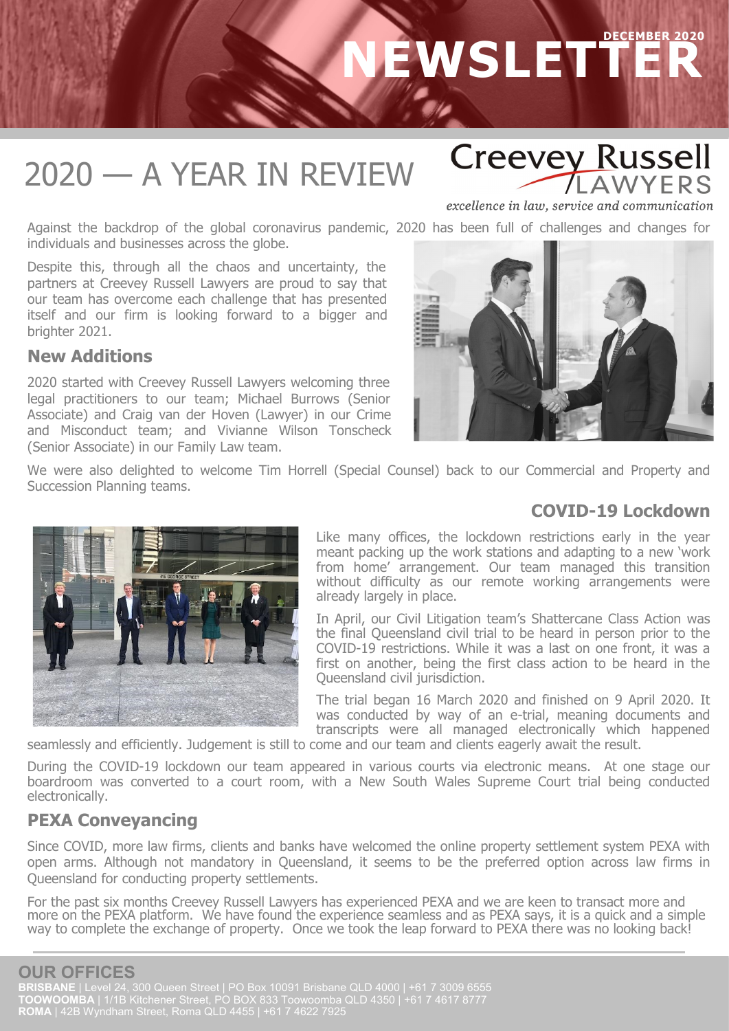# **DECEMBER 2020 NEWSLETTER**

### 2020 — A YEAR IN REVIEW

**Creevey Russell AWYFRS** 

excellence in law, service and communication

Against the backdrop of the global coronavirus pandemic, 2020 has been full of challenges and changes for individuals and businesses across the globe.

Despite this, through all the chaos and uncertainty, the partners at Creevey Russell Lawyers are proud to say that our team has overcome each challenge that has presented itself and our firm is looking forward to a bigger and brighter 2021.

#### **New Additions**

2020 started with Creevey Russell Lawyers welcoming three legal practitioners to our team; Michael Burrows (Senior Associate) and Craig van der Hoven (Lawyer) in our Crime and Misconduct team; and Vivianne Wilson Tonscheck (Senior Associate) in our Family Law team.



We were also delighted to welcome Tim Horrell (Special Counsel) back to our Commercial and Property and Succession Planning teams.

### **COVID-19 Lockdown**



Like many offices, the lockdown restrictions early in the year meant packing up the work stations and adapting to a new 'work from home' arrangement. Our team managed this transition without difficulty as our remote working arrangements were already largely in place.

In April, our Civil Litigation team's Shattercane Class Action was the final Queensland civil trial to be heard in person prior to the COVID-19 restrictions. While it was a last on one front, it was a first on another, being the first class action to be heard in the Queensland civil jurisdiction.

The trial began 16 March 2020 and finished on 9 April 2020. It was conducted by way of an e-trial, meaning documents and transcripts were all managed electronically which happened

seamlessly and efficiently. Judgement is still to come and our team and clients eagerly await the result.

During the COVID-19 lockdown our team appeared in various courts via electronic means. At one stage our boardroom was converted to a court room, with a New South Wales Supreme Court trial being conducted electronically.

### **PEXA Conveyancing**

Since COVID, more law firms, clients and banks have welcomed the online property settlement system PEXA with open arms. Although not mandatory in Queensland, it seems to be the preferred option across law firms in Queensland for conducting property settlements.

For the past six months Creevey Russell Lawyers has experienced PEXA and we are keen to transact more and more on the PEXA platform. We have found the experience seamless and as PEXA says, it is a quick and a simple way to complete the exchange of property. Once we took the leap forward to PEXA there was no looking back!

### **OUR OFFICES**